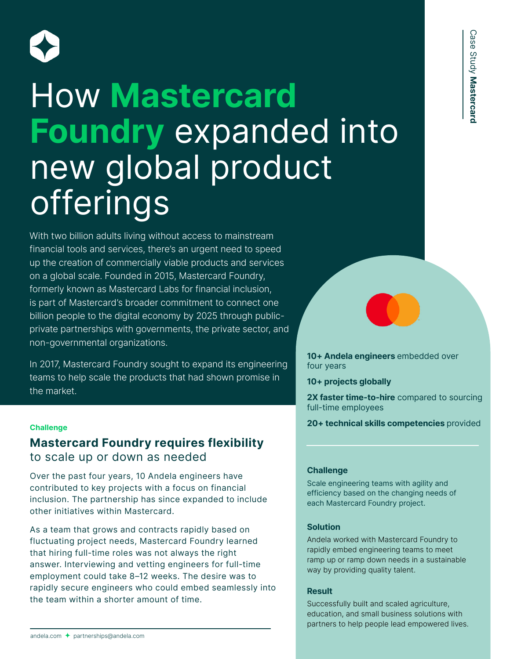

# How **Mastercard Foundry** expanded into new global product **offerings**

With two billion adults living without access to mainstream financial tools and services, there's an urgent need to speed up the creation of commercially viable products and services on a global scale. Founded in 2015, Mastercard Foundry, formerly known as Mastercard Labs for financial inclusion, is part of Mastercard's broader commitment to connect one billion people to the digital economy by 2025 through publicprivate partnerships with governments, the private sector, and non-governmental organizations.

In 2017, Mastercard Foundry sought to expand its engineering teams to help scale the products that had shown promise in the market.

# **Mastercard Foundry requires flexibility**  to scale up or down as needed

Over the past four years, 10 Andela engineers have contributed to key projects with a focus on financial inclusion. The partnership has since expanded to include other initiatives within Mastercard.

As a team that grows and contracts rapidly based on fluctuating project needs, Mastercard Foundry learned that hiring full-time roles was not always the right answer. Interviewing and vetting engineers for full-time employment could take 8–12 weeks. The desire was to rapidly secure engineers who could embed seamlessly into the team within a shorter amount of time.

**10+ Andela engineers** embedded over four years

**10+ projects globally**

**2X faster time-to-hire** compared to sourcing full-time employees

**20+ technical skills competencies** provided **Challenge**

#### **Challenge**

Scale engineering teams with agility and efficiency based on the changing needs of each Mastercard Foundry project.

#### **Solution**

Andela worked with Mastercard Foundry to rapidly embed engineering teams to meet ramp up or ramp down needs in a sustainable way by providing quality talent.

#### **Result**

Successfully built and scaled agriculture, education, and small business solutions with partners to help people lead empowered lives.